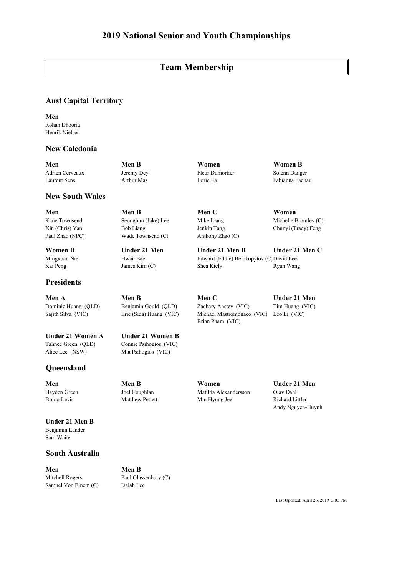# **Team Membership**

## **Aust Capital Territory**

**Men**  Rohan Dhooria Henrik Nielsen

## **New Caledonia**

**New South Wales**

**Men Men B Women Women B** Adrien Cerveaux Jeremy Dey Fleur Dumortier Solenn Danger Laurent Sens Arthur Mas Lorie La Fabianna Faehau

**Men Men B Men C Women**  Paul Zhao (NPC) Wade Townsend (C) Anthony Zhao (C)

**Women B Under 21 Men Under 21 Men B Under 21 Men C** Mingxuan Nie Hwan Bae Edward (Eddie) Belokopytov (C)David Lee Kai Peng James Kim (C) Shea Kiely Ryan Wang

**Men A Men B Men C Under 21 Men**  Dominic Huang (QLD) Benjamin Gould (QLD) Zachary Anstey (VIC) Tim Huang (VIC) Sajith Silva (VIC) Eric (Sida) Huang (VIC) Michael Mastromonaco (VIC) Leo Li (VIC) Brian Pham (VIC)

Kane Townsend Seonghun (Jake) Lee Mike Liang Michelle Bromley (C) Xin (Chris) Yan Bob Liang Jenkin Tang Chunyi (Tracy) Feng

**Under 21 Women A Under 21 Women B** Tahnee Green (QLD) Connie Psihogios (VIC) Alice Lee (NSW) Mia Psihogios (VIC)

# **Queensland**

**Presidents**

**Under 21 Men B** Benjamin Lander Sam Waite

## **South Australia**

**Men Men B** Mitchell Rogers Paul Glassenbury (C) Samuel Von Einem (C) Isaiah Lee

Andy Nguyen-Huynh

**Men Men B Women Under 21 Men**  Hayden Green Joel Coughlan Matilda Alexandersson Olav Dahl Bruno Levis Matthew Pettett Min Hyung Jee Richard Littler

Last Updated: April 26, 2019 3:05 PM